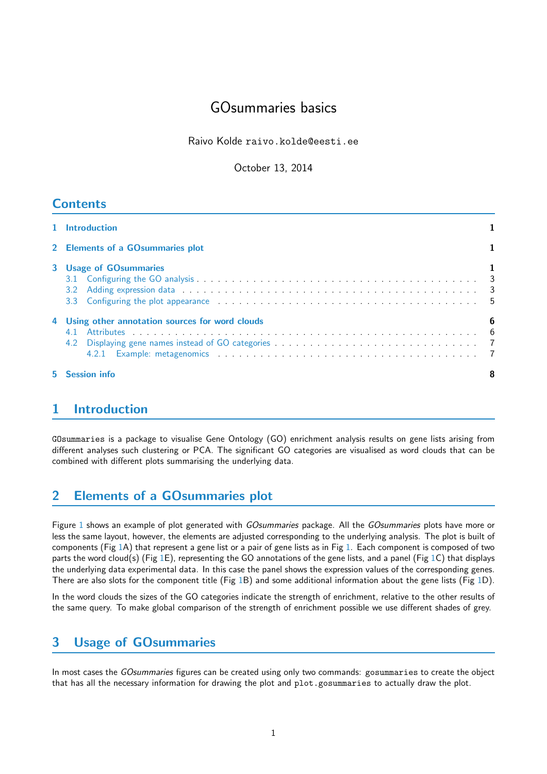# GOsummaries basics

Raivo Kolde raivo.kolde@eesti.ee

October 13, 2014

## **Contents**

| 1 Introduction                                                                                                                                                                                                                                                  |   |  |  |  |
|-----------------------------------------------------------------------------------------------------------------------------------------------------------------------------------------------------------------------------------------------------------------|---|--|--|--|
| 2 Elements of a GOsummaries plot                                                                                                                                                                                                                                |   |  |  |  |
| <b>3</b> Usage of GOsummaries<br>3.3 Configuring the plot appearance contained a series and contact the series of the series of the series of the series of the series of the series of the series of the series of the series of the series of the series of t |   |  |  |  |
| 4 Using other annotation sources for word clouds                                                                                                                                                                                                                | 6 |  |  |  |
| <b>5</b> Session info                                                                                                                                                                                                                                           | 8 |  |  |  |

## <span id="page-0-0"></span>1 Introduction

GOsummaries is a package to visualise Gene Ontology (GO) enrichment analysis results on gene lists arising from different analyses such clustering or PCA. The significant GO categories are visualised as word clouds that can be combined with different plots summarising the underlying data.

# <span id="page-0-1"></span>2 Elements of a GOsummaries plot

Figure [1](#page-1-0) shows an example of plot generated with *GOsummaries* package. All the *GOsummaries* plots have more or less the same layout, however, the elements are adjusted corresponding to the underlying analysis. The plot is built of components (Fig [1A](#page-1-0)) that represent a gene list or a pair of gene lists as in Fig [1.](#page-1-0) Each component is composed of two parts the word cloud(s) (Fig [1E](#page-1-0)), representing the GO annotations of the gene lists, and a panel (Fig [1C](#page-1-0)) that displays the underlying data experimental data. In this case the panel shows the expression values of the corresponding genes. There are also slots for the component title (Fig [1B](#page-1-0)) and some additional information about the gene lists (Fig [1D](#page-1-0)).

In the word clouds the sizes of the GO categories indicate the strength of enrichment, relative to the other results of the same query. To make global comparison of the strength of enrichment possible we use different shades of grey.

# <span id="page-0-2"></span>3 Usage of GOsummaries

In most cases the GOsummaries figures can be created using only two commands: gosummaries to create the object that has all the necessary information for drawing the plot and plot.gosummaries to actually draw the plot.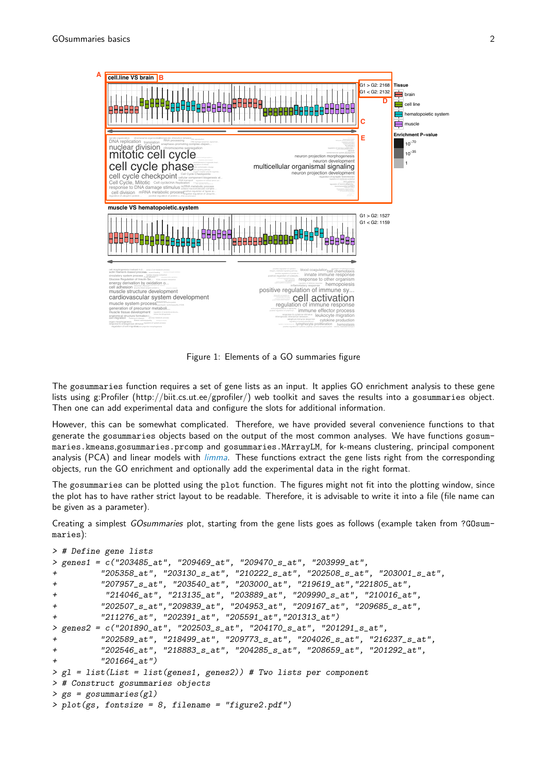

<span id="page-1-0"></span>Figure 1: Elements of a GO summaries figure

Then one can add experimental data and configure the slots for additional information. lists using g:Profiler (http://biit.cs.ut.ee/gprofiler/) web toolkit and saves the results into a gosummaries object. The gosummaries function requires a set of gene lists as an input. It applies GO enrichment analysis to these gene

call be soffied However, this can be somewhat complicated. Therefore, we have provided several convenience functions to that generate the gosummaries objects based on the output of the most common analyses. We have functions gosums,gosummaries.prco analysis (PCA) and linear models with *[limma](http://bioconductor.org/packages/release/bioc/html/limma.html)*. These functions extract the gene lists right from the corresponding maries.kmeans,gosummaries.prcomp and gosummaries.MArrayLM, for k-means clustering, principal component objects, run the GO enrichment and optionally add the experimental data in the right format.

The gosummaries can be plotted using the plot function. The figures might not fit into the plotting window, since the plot has to have rather strict layout to be readable. Therefore, it is advisable to write it into a file (file name can be given as a parameter).

Creating a simplest GOsummaries plot, starting from the gene lists goes as follows (example taken from ?GOsummaries):

```
> # Define gene lists
> genes1 = c("203485_at", "209469_at", "209470_s_at", "203999_at",
+ "205358_at", "203130_s_at", "210222_s_at", "202508_s_at", "203001_s_at",
+ "207957_s_at", "203540_at", "203000_at", "219619_at","221805_at",
+ "214046_at", "213135_at", "203889_at", "209990_s_at", "210016_at",
+ "202507_s_at","209839_at", "204953_at", "209167_at", "209685_s_at",
+ "211276_at", "202391_at", "205591_at","201313_at")
> genes2 = c("201890_at", "202503_s_at", "204170_s_at", "201291_s_at",
+ "202589_at", "218499_at", "209773_s_at", "204026_s_at", "216237_s_at",
+ "202546_at", "218883_s_at", "204285_s_at", "208659_at", "201292_at",
+ "201664_at")
> gl = list(List = list(genes1, genes2)) # Two lists per component
> # Construct gosummaries objects
> gs = gosummaries(gl)
> plot(gs, fontsize = 8, filename = "figure2.pdf")
```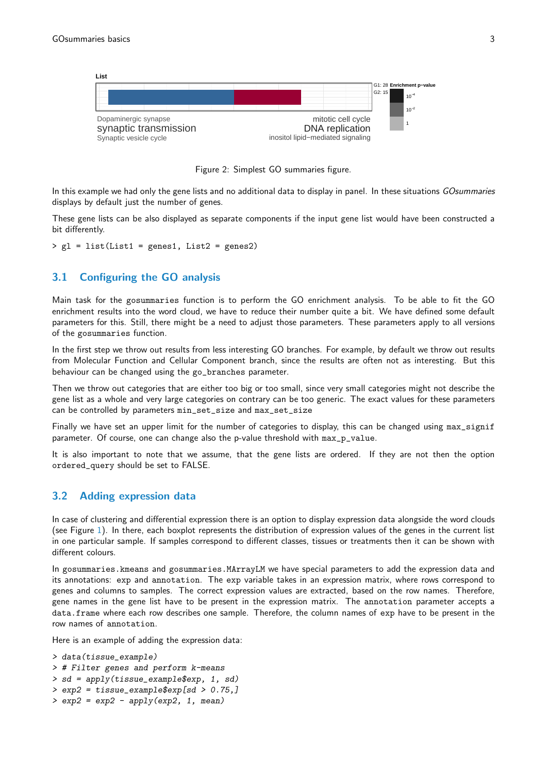

Figure 2: Simplest GO summaries figure.

In this example we had only the gene lists and no additional data to display in panel. In these situations GOsummaries displays by default just the number of genes.

These gene lists can be also displayed as separate components if the input gene list would have been constructed a bit differently.

> gl = list(List1 = genes1, List2 = genes2)

### <span id="page-2-0"></span>3.1 Configuring the GO analysis

Main task for the gosummaries function is to perform the GO enrichment analysis. To be able to fit the GO enrichment results into the word cloud, we have to reduce their number quite a bit. We have defined some default parameters for this. Still, there might be a need to adjust those parameters. These parameters apply to all versions of the gosummaries function.

In the first step we throw out results from less interesting GO branches. For example, by default we throw out results from Molecular Function and Cellular Component branch, since the results are often not as interesting. But this behaviour can be changed using the go\_branches parameter.

Then we throw out categories that are either too big or too small, since very small categories might not describe the gene list as a whole and very large categories on contrary can be too generic. The exact values for these parameters can be controlled by parameters min\_set\_size and max\_set\_size

Finally we have set an upper limit for the number of categories to display, this can be changed using max\_signif parameter. Of course, one can change also the p-value threshold with max\_p\_value.

It is also important to note that we assume, that the gene lists are ordered. If they are not then the option ordered\_query should be set to FALSE.

#### <span id="page-2-1"></span>3.2 Adding expression data

In case of clustering and differential expression there is an option to display expression data alongside the word clouds (see Figure [1\)](#page-1-0). In there, each boxplot represents the distribution of expression values of the genes in the current list in one particular sample. If samples correspond to different classes, tissues or treatments then it can be shown with different colours.

In gosummaries.kmeans and gosummaries.MArrayLM we have special parameters to add the expression data and its annotations: exp and annotation. The exp variable takes in an expression matrix, where rows correspond to genes and columns to samples. The correct expression values are extracted, based on the row names. Therefore, gene names in the gene list have to be present in the expression matrix. The annotation parameter accepts a data.frame where each row describes one sample. Therefore, the column names of exp have to be present in the row names of annotation.

Here is an example of adding the expression data:

```
> data(tissue_example)
> # Filter genes and perform k-means
> sd = apply(tissue_example$exp, 1, sd)
> exp2 = tissue_example$exp[sd > 0.75,]
> exp2 = exp2 - apply(exp2, 1, mean)
```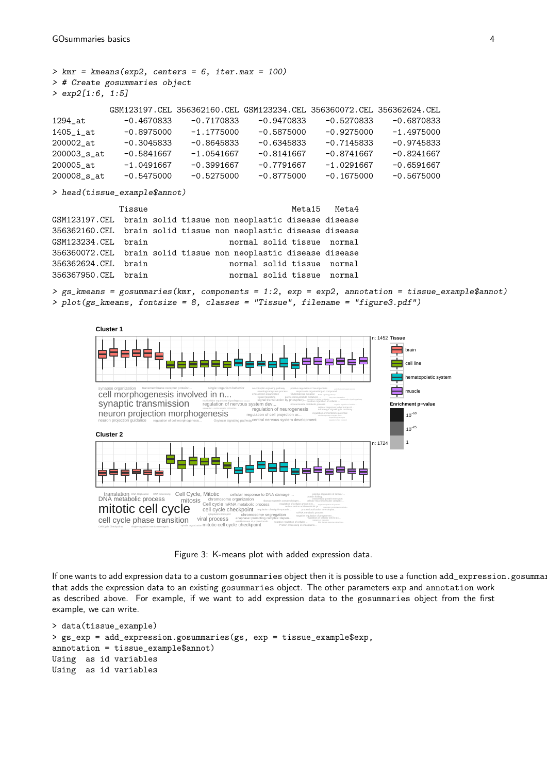$>$  kmr = kmeans(exp2, centers = 6, iter.max = 100) > # Create gosummaries object > exp2[1:6, 1:5] GSM123197.CEL 356362160.CEL GSM123234.CEL 356360072.CEL 356362624.CEL 1294\_at -0.4670833 -0.7170833 -0.9470833 -0.5270833 -0.6870833 1405\_i\_at -0.8975000 -1.1775000 -0.5875000 -0.9275000 -1.4975000 200002\_at -0.3045833 -0.8645833 -0.6345833 -0.7145833 -0.9745833 200003\_s\_at -0.5841667 -1.0541667 -0.8141667 -0.8741667 -0.8241667 200005\_at -1.0491667 -0.3991667 -0.7791667 -1.0291667 -0.6591667 200008\_s\_at -0.5475000 -0.5275000 -0.8775000 -0.1675000 -0.5675000 > head(tissue\_example\$annot)

Tissue **Metal5** Meta4 GSM123197.CEL brain solid tissue non neoplastic disease disease 356362160.CEL brain solid tissue non neoplastic disease disease GSM123234.CEL brain normal solid tissue normal 356360072.CEL brain solid tissue non neoplastic disease disease 356362624.CEL brain normal solid tissue normal 356367950.CEL brain normal solid tissue normal

 $>$  gs\_kmeans = gosummaries(kmr, components = 1:2, exp = exp2, annotation = tissue\_example\$annot) > plot(gs\_kmeans, fontsize = 8, classes = "Tissue", filename = "figure3.pdf")



Figure 3: K-means plot with added expression data.

If one wants to add expression data to a custom gosummaries object then it is possible to use a function add\_expression.gosumma: that adds the expression data to an existing gosummaries object. The other parameters exp and annotation work as described above. For example, if we want to add expression data to the gosummaries object from the first example, we can write.

```
> data(tissue_example)
> gs_exp = add_expression.gosummaries(gs, exp = tissue_example$exp,
annotation = tissue_example$annot)
Using as id variables
Using as id variables
```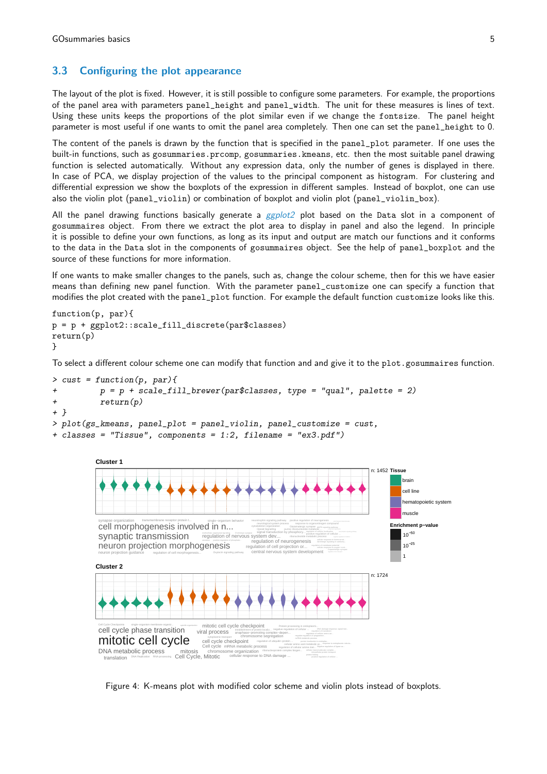### 3.3 Configuring the plot appearance

The layout of the plot is fixed. However, it is still possible to configure some parameters. For example, the proportions of the panel area with parameters panel\_height and panel\_width. The unit for these measures is lines of text. Using these units keeps the proportions of the plot similar even if we change the fontsize. The panel height parameter is most useful if one wants to omit the panel area completely. Then one can set the panel\_height to 0.

The content of the panels is drawn by the function that is specified in the panel\_plot parameter. If one uses the built-in functions, such as gosummaries.prcomp, gosummaries.kmeans, etc. then the most suitable panel drawing function is selected automatically. Without any expression data, only the number of genes is displayed in there. In case of PCA, we display projection of the values to the principal component as histogram. For clustering and differential expression we show the boxplots of the expression in different samples. Instead of boxplot, one can use also the violin plot (panel\_violin) or combination of boxplot and violin plot (panel\_violin\_box).

All the panel drawing functions basically generate a [ggplot2](http://cran.fhcrc.org/web/packages/ggplot2/index.html) plot based on the Data slot in a component of gosummaires object. From there we extract the plot area to display in panel and also the legend. In principle it is possible to define your own functions, as long as its input and output are match our functions and it conforms to the data in the Data slot in the components of gosummaires object. See the help of panel\_boxplot and the source of these functions for more information.

If one wants to make smaller changes to the panels, such as, change the colour scheme, then for this we have easier means than defining new panel function. With the parameter panel\_customize one can specify a function that modifies the plot created with the panel\_plot function. For example the default function customize looks like this.

```
function(p, par){
p = p + ggplot2::scale_fill_discrete(par$classes)
return(p)
}
```
To select a different colour scheme one can modify that function and and give it to the plot.gosummaires function.





Figure 4: K-means plot with modified color scheme and violin plots instead of boxplots.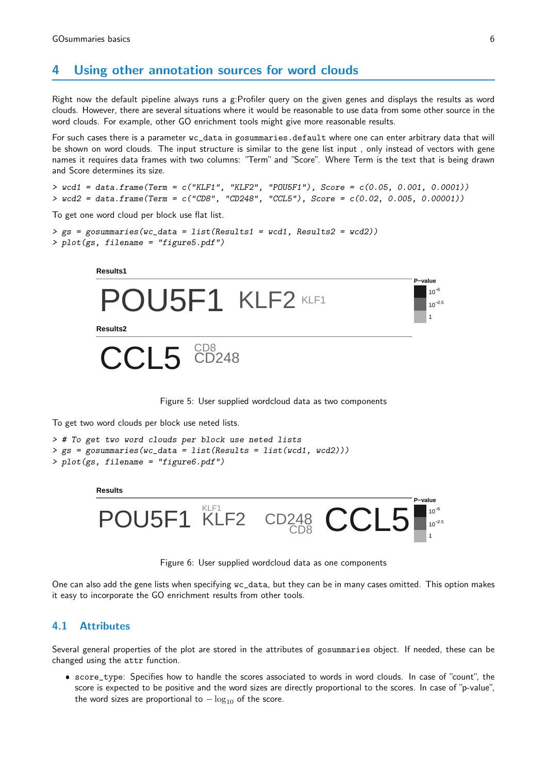### <span id="page-5-0"></span>4 Using other annotation sources for word clouds

Right now the default pipeline always runs a g:Profiler query on the given genes and displays the results as word clouds. However, there are several situations where it would be reasonable to use data from some other source in the word clouds. For example, other GO enrichment tools might give more reasonable results.

For such cases there is a parameter wc\_data in gosummaries.default where one can enter arbitrary data that will be shown on word clouds. The input structure is similar to the gene list input , only instead of vectors with gene names it requires data frames with two columns: "Term" and "Score". Where Term is the text that is being drawn and Score determines its size.

 $> wcd1 = data frame(Term = c("KLF1", "KLF2", "POUSF1"), Score = c(0.05, 0.001, 0.0001))$  $>$  wcd2 = data.frame(Term = c("CD8", "CD248", "CCL5"), Score = c(0.02, 0.005, 0.00001))

To get one word cloud per block use flat list.

```
> gs = gosummaries(wc_data = list(Results1 = wcd1, Results2 = wcd2))
> plot(gs, filename = "figure5.pdf")
```




To get two word clouds per block use neted lists.

```
> # To get two word clouds per block use neted lists
> gs = gosummaries(wc_data = list(Results = list(wcd1, wcd2)))
> plot(gs, filename = "figure6.pdf")
```
**Results**



Figure 6: User supplied wordcloud data as one components

One can also add the gene lists when specifying wc\_data, but they can be in many cases omitted. This option makes it easy to incorporate the GO enrichment results from other tools.

#### <span id="page-5-1"></span>4.1 Attributes

Several general properties of the plot are stored in the attributes of gosummaries object. If needed, these can be changed using the attr function.

 score\_type: Specifies how to handle the scores associated to words in word clouds. In case of "count", the score is expected to be positive and the word sizes are directly proportional to the scores. In case of "p-value", the word sizes are proportional to  $-\log_{10}$  of the score.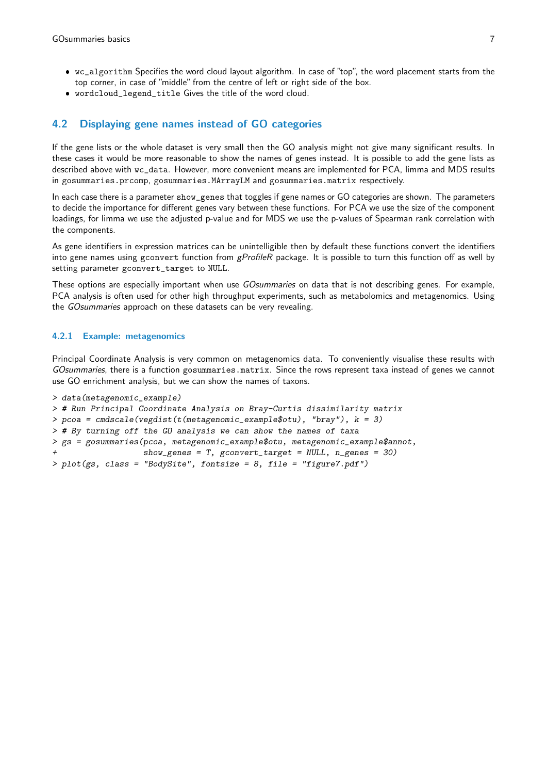- wc\_algorithm Specifies the word cloud layout algorithm. In case of "top", the word placement starts from the top corner, in case of "middle" from the centre of left or right side of the box.
- wordcloud\_legend\_title Gives the title of the word cloud.

### <span id="page-6-0"></span>4.2 Displaying gene names instead of GO categories

If the gene lists or the whole dataset is very small then the GO analysis might not give many significant results. In these cases it would be more reasonable to show the names of genes instead. It is possible to add the gene lists as described above with wc\_data. However, more convenient means are implemented for PCA, limma and MDS results in gosummaries.prcomp, gosummaries.MArrayLM and gosummaries.matrix respectively.

In each case there is a parameter show\_genes that toggles if gene names or GO categories are shown. The parameters to decide the importance for different genes vary between these functions. For PCA we use the size of the component loadings, for limma we use the adjusted p-value and for MDS we use the p-values of Spearman rank correlation with the components.

As gene identifiers in expression matrices can be unintelligible then by default these functions convert the identifiers into gene names using gconvert function from gProfileR package. It is possible to turn this function off as well by setting parameter gconvert\_target to NULL.

These options are especially important when use GOsummaries on data that is not describing genes. For example, PCA analysis is often used for other high throughput experiments, such as metabolomics and metagenomics. Using the GOsummaries approach on these datasets can be very revealing.

#### <span id="page-6-1"></span>4.2.1 Example: metagenomics

Principal Coordinate Analysis is very common on metagenomics data. To conveniently visualise these results with GOsummaries, there is a function gosummaries.matrix. Since the rows represent taxa instead of genes we cannot use GO enrichment analysis, but we can show the names of taxons.

```
> data(metagenomic_example)
> # Run Principal Coordinate Analysis on Bray-Curtis dissimilarity matrix
> pcoa = cmdscale(vegdist(t(metagenomic_example$otu), "bray"), k = 3)
> # By turning off the GO analysis we can show the names of taxa
> gs = gosummaries(pcoa, metagenomic_example$otu, metagenomic_example$annot,
                   show\_genes = T, gconvert_target = NULL, n_genes = 30)
> plot(gs, class = "BodySite", fontsize = 8, file = "figure7.pdf")
```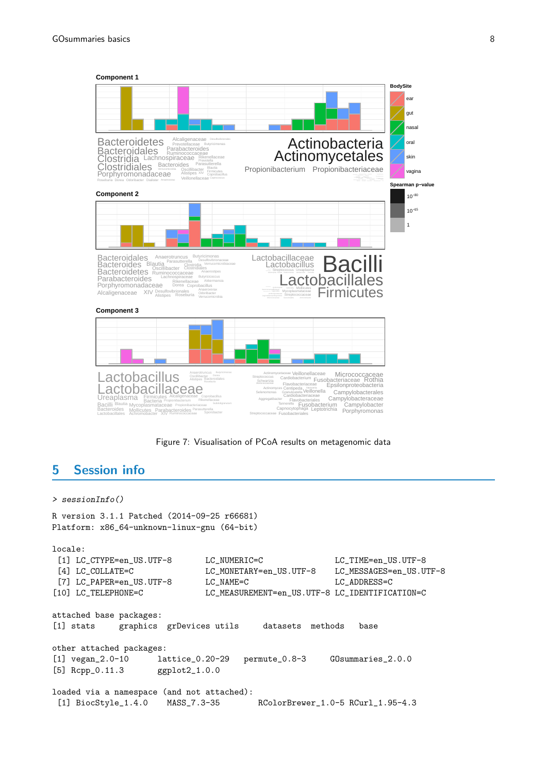

Figure 7: Visualisation of PCoA results on metagenomic data

## <span id="page-7-0"></span>5 Session info

#### > sessionInfo()

R version 3.1.1 Patched (2014-09-25 r66681) Platform: x86\_64-unknown-linux-gnu (64-bit) locale: [1] LC\_CTYPE=en\_US.UTF-8 LC\_NUMERIC=C LC\_TIME=en\_US.UTF-8 [4] LC\_COLLATE=C LC\_MONETARY=en\_US.UTF-8 LC\_MESSAGES=en\_US.UTF-8 [7] LC\_PAPER=en\_US.UTF-8 LC\_NAME=C LC\_ADDRESS=C [10] LC\_TELEPHONE=C LC\_MEASUREMENT=en\_US.UTF-8 LC\_IDENTIFICATION=C attached base packages: [1] stats graphics grDevices utils datasets methods base other attached packages: [1] vegan\_2.0-10 lattice\_0.20-29 permute\_0.8-3 GOsummaries\_2.0.0 [5] Rcpp\_0.11.3 ggplot2\_1.0.0 loaded via a namespace (and not attached): [1] BiocStyle\_1.4.0 MASS\_7.3-35 RColorBrewer\_1.0-5 RCurl\_1.95-4.3